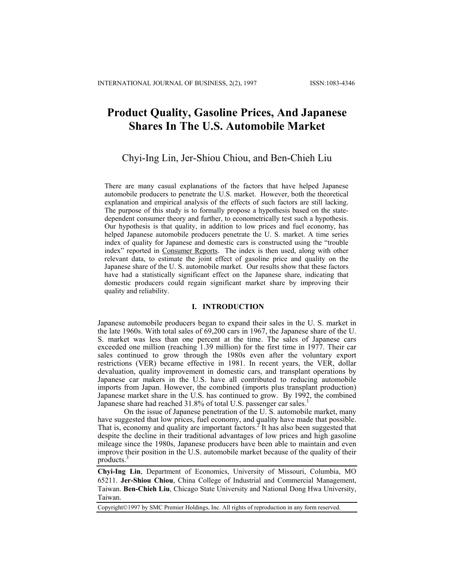# **Product Quality, Gasoline Prices, And Japanese Shares In The U.S. Automobile Market**

# Chyi-Ing Lin, Jer-Shiou Chiou, and Ben-Chieh Liu

There are many casual explanations of the factors that have helped Japanese automobile producers to penetrate the U.S. market. However, both the theoretical explanation and empirical analysis of the effects of such factors are still lacking. The purpose of this study is to formally propose a hypothesis based on the statedependent consumer theory and further, to econometrically test such a hypothesis. Our hypothesis is that quality, in addition to low prices and fuel economy, has helped Japanese automobile producers penetrate the U. S. market. A time series index of quality for Japanese and domestic cars is constructed using the "trouble index" reported in Consumer Reports. The index is then used, along with other relevant data, to estimate the joint effect of gasoline price and quality on the Japanese share of the U. S. automobile market. Our results show that these factors have had a statistically significant effect on the Japanese share, indicating that domestic producers could regain significant market share by improving their quality and reliability.

# **I. INTRODUCTION**

Japanese automobile producers began to expand their sales in the U. S. market in the late 1960s. With total sales of 69,200 cars in 1967, the Japanese share of the U. S. market was less than one percent at the time. The sales of Japanese cars exceeded one million (reaching 1.39 million) for the first time in 1977. Their car sales continued to grow through the 1980s even after the voluntary export restrictions (VER) became effective in 1981. In recent years, the VER, dollar devaluation, quality improvement in domestic cars, and transplant operations by Japanese car makers in the U.S. have all contributed to reducing automobile imports from Japan. However, the combined (imports plus transplant production) Japanese market share in the U.S. has continued to grow. By 1992, the combined Japanese share had reached 3[1](#page-23-0).8% of total U.S. passenger car sales.<sup>1</sup>

On the issue of Japanese penetration of the U. S. automobile market, many have suggested that low prices, fuel economy, and quality have made that possible. That is, economy and quality are important factors.<sup>2</sup> [I](#page-23-1)t has also been suggested that despite the decline in their traditional advantages of low prices and high gasoline mileage since the 1980s, Japanese producers have been able to maintain and even improve their position in the U.S. automobile market because of the quality of their products.<sup>[3](#page-23-2)</sup>

**Chyi-Ing Lin**, Department of Economics, University of Missouri, Columbia, MO 65211. **Jer-Shiou Chiou**, China College of Industrial and Commercial Management, Taiwan. **Ben-Chieh Liu**, Chicago State University and National Dong Hwa University, Taiwan.

Copyright©1997 by SMC Premier Holdings, Inc. All rights of reproduction in any form reserved.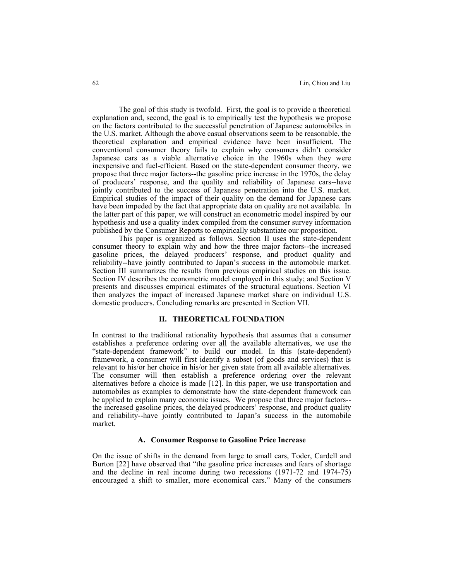The goal of this study is twofold. First, the goal is to provide a theoretical explanation and, second, the goal is to empirically test the hypothesis we propose on the factors contributed to the successful penetration of Japanese automobiles in the U.S. market. Although the above casual observations seem to be reasonable, the theoretical explanation and empirical evidence have been insufficient. The conventional consumer theory fails to explain why consumers didn't consider Japanese cars as a viable alternative choice in the 1960s when they were inexpensive and fuel-efficient. Based on the state-dependent consumer theory, we propose that three major factors--the gasoline price increase in the 1970s, the delay of producers' response, and the quality and reliability of Japanese cars--have jointly contributed to the success of Japanese penetration into the U.S. market. Empirical studies of the impact of their quality on the demand for Japanese cars have been impeded by the fact that appropriate data on quality are not available. In the latter part of this paper, we will construct an econometric model inspired by our hypothesis and use a quality index compiled from the consumer survey information published by the Consumer Reports to empirically substantiate our proposition.

This paper is organized as follows. Section II uses the state-dependent consumer theory to explain why and how the three major factors--the increased gasoline prices, the delayed producers' response, and product quality and reliability--have jointly contributed to Japan's success in the automobile market. Section III summarizes the results from previous empirical studies on this issue. Section IV describes the econometric model employed in this study; and Section V presents and discusses empirical estimates of the structural equations. Section VI then analyzes the impact of increased Japanese market share on individual U.S. domestic producers. Concluding remarks are presented in Section VII.

# **II. THEORETICAL FOUNDATION**

In contrast to the traditional rationality hypothesis that assumes that a consumer establishes a preference ordering over all the available alternatives, we use the "state-dependent framework" to build our model. In this (state-dependent) framework, a consumer will first identify a subset (of goods and services) that is relevant to his/or her choice in his/or her given state from all available alternatives. The consumer will then establish a preference ordering over the relevant alternatives before a choice is made [12]. In this paper, we use transportation and automobiles as examples to demonstrate how the state-dependent framework can be applied to explain many economic issues. We propose that three major factors- the increased gasoline prices, the delayed producers' response, and product quality and reliability--have jointly contributed to Japan's success in the automobile market.

### **A. Consumer Response to Gasoline Price Increase**

On the issue of shifts in the demand from large to small cars, Toder, Cardell and Burton [22] have observed that "the gasoline price increases and fears of shortage and the decline in real income during two recessions (1971-72 and 1974-75) encouraged a shift to smaller, more economical cars." Many of the consumers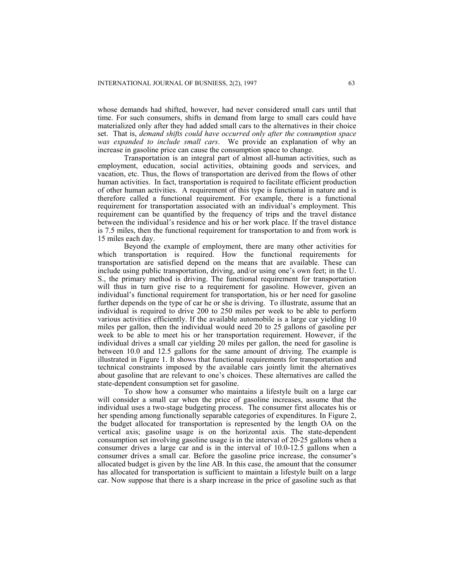whose demands had shifted, however, had never considered small cars until that time. For such consumers, shifts in demand from large to small cars could have materialized only after they had added small cars to the alternatives in their choice set. That is, *demand shifts could have occurred only after the consumption space was expanded to include small cars*. We provide an explanation of why an increase in gasoline price can cause the consumption space to change.

Transportation is an integral part of almost all-human activities, such as employment, education, social activities, obtaining goods and services, and vacation, etc. Thus, the flows of transportation are derived from the flows of other human activities. In fact, transportation is required to facilitate efficient production of other human activities. A requirement of this type is functional in nature and is therefore called a functional requirement. For example, there is a functional requirement for transportation associated with an individual's employment. This requirement can be quantified by the frequency of trips and the travel distance between the individual's residence and his or her work place. If the travel distance is 7.5 miles, then the functional requirement for transportation to and from work is 15 miles each day.

Beyond the example of employment, there are many other activities for which transportation is required. How the functional requirements for transportation are satisfied depend on the means that are available. These can include using public transportation, driving, and/or using one's own feet; in the U. S., the primary method is driving. The functional requirement for transportation will thus in turn give rise to a requirement for gasoline. However, given an individual's functional requirement for transportation, his or her need for gasoline further depends on the type of car he or she is driving. To illustrate, assume that an individual is required to drive 200 to 250 miles per week to be able to perform various activities efficiently. If the available automobile is a large car yielding 10 miles per gallon, then the individual would need 20 to 25 gallons of gasoline per week to be able to meet his or her transportation requirement. However, if the individual drives a small car yielding 20 miles per gallon, the need for gasoline is between 10.0 and 12.5 gallons for the same amount of driving. The example is illustrated in Figure 1. It shows that functional requirements for transportation and technical constraints imposed by the available cars jointly limit the alternatives about gasoline that are relevant to one's choices. These alternatives are called the state-dependent consumption set for gasoline.

To show how a consumer who maintains a lifestyle built on a large car will consider a small car when the price of gasoline increases, assume that the individual uses a two-stage budgeting process. The consumer first allocates his or her spending among functionally separable categories of expenditures. In Figure 2, the budget allocated for transportation is represented by the length OA on the vertical axis; gasoline usage is on the horizontal axis. The state-dependent consumption set involving gasoline usage is in the interval of 20-25 gallons when a consumer drives a large car and is in the interval of 10.0-12.5 gallons when a consumer drives a small car. Before the gasoline price increase, the consumer's allocated budget is given by the line AB. In this case, the amount that the consumer has allocated for transportation is sufficient to maintain a lifestyle built on a large car. Now suppose that there is a sharp increase in the price of gasoline such as that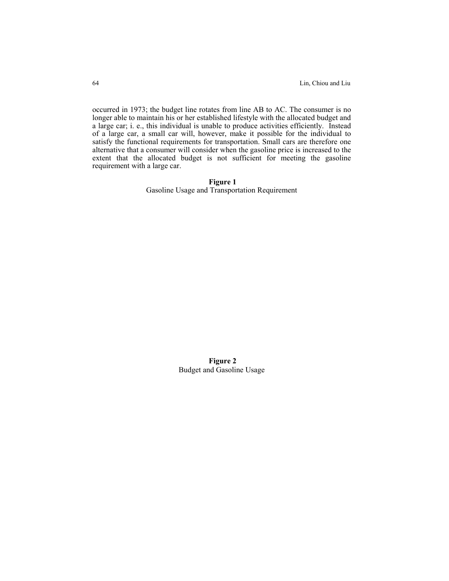occurred in 1973; the budget line rotates from line AB to AC. The consumer is no longer able to maintain his or her established lifestyle with the allocated budget and a large car; i. e., this individual is unable to produce activities efficiently. Instead of a large car, a small car will, however, make it possible for the individual to satisfy the functional requirements for transportation. Small cars are therefore one alternative that a consumer will consider when the gasoline price is increased to the extent that the allocated budget is not sufficient for meeting the gasoline requirement with a large car.

> **Figure 1**  Gasoline Usage and Transportation Requirement

> > **Figure 2**  Budget and Gasoline Usage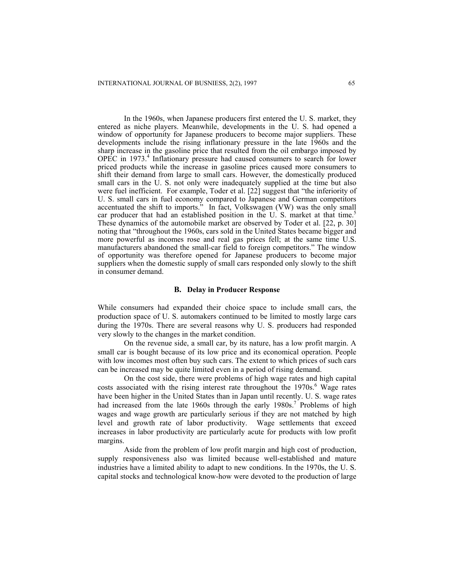In the 1960s, when Japanese producers first entered the U. S. market, they entered as niche players. Meanwhile, developments in the U. S. had opened a window of opportunity for Japanese producers to become major suppliers. These developments include the rising inflationary pressure in the late 1960s and the sharp increase in the gasoline price that resulted from the oil embargo imposed by OPEC in 1973.[4](#page-23-3) Inflationary pressure had caused consumers to search for lower priced products while the increase in gasoline prices caused more consumers to shift their demand from large to small cars. However, the domestically produced small cars in the U. S. not only were inadequately supplied at the time but also were fuel inefficient. For example, Toder et al. [22] suggest that "the inferiority of U. S. small cars in fuel economy compared to Japanese and German competitors accentuated the shift to imports." In fact, Volkswagen (VW) was the only small car producer that had an established position in the U. S. market at that time.<sup>5</sup> These dynamics of the automobile market are observed by Toder et al. [22, p. 30] noting that "throughout the 1960s, cars sold in the United States became bigger and more powerful as incomes rose and real gas prices fell; at the same time U.S. manufacturers abandoned the small-car field to foreign competitors." The window of opportunity was therefore opened for Japanese producers to become major suppliers when the domestic supply of small cars responded only slowly to the shift in consumer demand.

#### **B. Delay in Producer Response**

While consumers had expanded their choice space to include small cars, the production space of U. S. automakers continued to be limited to mostly large cars during the 1970s. There are several reasons why U. S. producers had responded very slowly to the changes in the market condition.

On the revenue side, a small car, by its nature, has a low profit margin. A small car is bought because of its low price and its economical operation. People with low incomes most often buy such cars. The extent to which prices of such cars can be increased may be quite limited even in a period of rising demand.

On the cost side, there were problems of high wage rates and high capital costs associated with the rising interest rate throughout the 1970s.<sup>[6](#page-23-5)</sup> Wage rates have been higher in the United States than in Japan until recently. U. S. wage rates had increased from the late 1960s through the early 1980s.<sup>[7](#page-23-6)</sup> Problems of high wages and wage growth are particularly serious if they are not matched by high level and growth rate of labor productivity. Wage settlements that exceed increases in labor productivity are particularly acute for products with low profit margins.

Aside from the problem of low profit margin and high cost of production, supply responsiveness also was limited because well-established and mature industries have a limited ability to adapt to new conditions. In the 1970s, the U. S. capital stocks and technological know-how were devoted to the production of large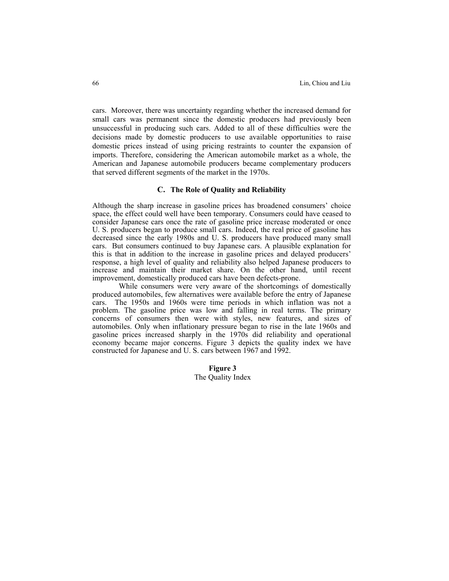cars. Moreover, there was uncertainty regarding whether the increased demand for small cars was permanent since the domestic producers had previously been unsuccessful in producing such cars. Added to all of these difficulties were the decisions made by domestic producers to use available opportunities to raise domestic prices instead of using pricing restraints to counter the expansion of imports. Therefore, considering the American automobile market as a whole, the American and Japanese automobile producers became complementary producers that served different segments of the market in the 1970s.

## **C. The Role of Quality and Reliability**

Although the sharp increase in gasoline prices has broadened consumers' choice space, the effect could well have been temporary. Consumers could have ceased to consider Japanese cars once the rate of gasoline price increase moderated or once U. S. producers began to produce small cars. Indeed, the real price of gasoline has decreased since the early 1980s and U. S. producers have produced many small cars. But consumers continued to buy Japanese cars. A plausible explanation for this is that in addition to the increase in gasoline prices and delayed producers' response, a high level of quality and reliability also helped Japanese producers to increase and maintain their market share. On the other hand, until recent improvement, domestically produced cars have been defects-prone.

While consumers were very aware of the shortcomings of domestically produced automobiles, few alternatives were available before the entry of Japanese cars. The 1950s and 1960s were time periods in which inflation was not a problem. The gasoline price was low and falling in real terms. The primary concerns of consumers then were with styles, new features, and sizes of automobiles. Only when inflationary pressure began to rise in the late 1960s and gasoline prices increased sharply in the 1970s did reliability and operational economy became major concerns. Figure 3 depicts the quality index we have constructed for Japanese and U. S. cars between 1967 and 1992.

> **Figure 3**  The Quality Index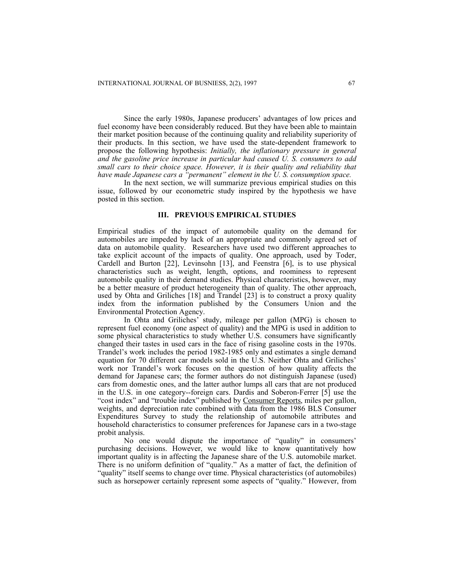Since the early 1980s, Japanese producers' advantages of low prices and fuel economy have been considerably reduced. But they have been able to maintain their market position because of the continuing quality and reliability superiority of their products. In this section, we have used the state-dependent framework to propose the following hypothesis: *Initially, the inflationary pressure in general and the gasoline price increase in particular had caused U. S. consumers to add small cars to their choice space. However, it is their quality and reliability that have made Japanese cars a "permanent" element in the U. S. consumption space.*

In the next section, we will summarize previous empirical studies on this issue, followed by our econometric study inspired by the hypothesis we have posted in this section.

### **III. PREVIOUS EMPIRICAL STUDIES**

Empirical studies of the impact of automobile quality on the demand for automobiles are impeded by lack of an appropriate and commonly agreed set of data on automobile quality. Researchers have used two different approaches to take explicit account of the impacts of quality. One approach, used by Toder, Cardell and Burton [22], Levinsohn [13], and Feenstra [6], is to use physical characteristics such as weight, length, options, and roominess to represent automobile quality in their demand studies. Physical characteristics, however, may be a better measure of product heterogeneity than of quality. The other approach, used by Ohta and Griliches [18] and Trandel [23] is to construct a proxy quality index from the information published by the Consumers Union and the Environmental Protection Agency.

In Ohta and Griliches' study, mileage per gallon (MPG) is chosen to represent fuel economy (one aspect of quality) and the MPG is used in addition to some physical characteristics to study whether U.S. consumers have significantly changed their tastes in used cars in the face of rising gasoline costs in the 1970s. Trandel's work includes the period 1982-1985 only and estimates a single demand equation for 70 different car models sold in the U.S. Neither Ohta and Griliches' work nor Trandel's work focuses on the question of how quality affects the demand for Japanese cars; the former authors do not distinguish Japanese (used) cars from domestic ones, and the latter author lumps all cars that are not produced in the U.S. in one category--foreign cars. Dardis and Soberon-Ferrer [5] use the "cost index" and "trouble index" published by Consumer Reports, miles per gallon, weights, and depreciation rate combined with data from the 1986 BLS Consumer Expenditures Survey to study the relationship of automobile attributes and household characteristics to consumer preferences for Japanese cars in a two-stage probit analysis.

No one would dispute the importance of "quality" in consumers' purchasing decisions. However, we would like to know quantitatively how important quality is in affecting the Japanese share of the U.S. automobile market. There is no uniform definition of "quality." As a matter of fact, the definition of "quality" itself seems to change over time. Physical characteristics (of automobiles) such as horsepower certainly represent some aspects of "quality." However, from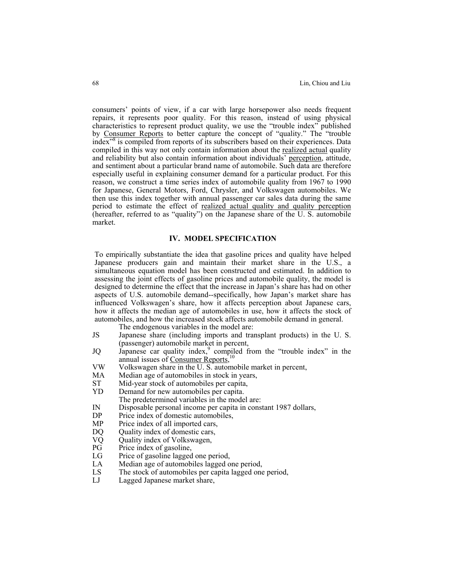consumers' points of view, if a car with large horsepower also needs frequent repairs, it represents poor quality. For this reason, instead of using physical characteristics to represent product quality, we use the "trouble index" published by Consumer Reports to better capture the concept of "quality." The "trouble index<sup>38</sup>is compiled from reports of its subscribers based on their experiences. Data compiled in this way not only contain information about the realized actual quality and reliability but also contain information about individuals' perception, attitude, and sentiment about a particular brand name of automobile. Such data are therefore especially useful in explaining consumer demand for a particular product. For this reason, we construct a time series index of automobile quality from 1967 to 1990 for Japanese, General Motors, Ford, Chrysler, and Volkswagen automobiles. We then use this index together with annual passenger car sales data during the same period to estimate the effect of realized actual quality and quality perception (hereafter, referred to as "quality") on the Japanese share of the U. S. automobile market.

## **IV. MODEL SPECIFICATION**

To empirically substantiate the idea that gasoline prices and quality have helped Japanese producers gain and maintain their market share in the U.S., a simultaneous equation model has been constructed and estimated. In addition to assessing the joint effects of gasoline prices and automobile quality, the model is designed to determine the effect that the increase in Japan's share has had on other aspects of U.S. automobile demand--specifically, how Japan's market share has influenced Volkswagen's share, how it affects perception about Japanese cars, how it affects the median age of automobiles in use, how it affects the stock of automobiles, and how the increased stock affects automobile demand in general.

The endogenous variables in the model are:

- JS Japanese share (including imports and transplant products) in the U. S. (passenger) automobile market in percent,
- JQ Japanese car quality index,<sup>[9](#page-23-8)</sup> compiled from the "trouble index" in the annual issues of Consumer Reports,<sup>[10](#page-23-9)</sup>
- VW Volkswagen share in the U. S. automobile market in percent,
- MA Median age of automobiles in stock in years,
- ST Mid-year stock of automobiles per capita,<br>
YD Demand for new automobiles per capita.
- Demand for new automobiles per capita.
- The predetermined variables in the model are:
- IN Disposable personal income per capita in constant 1987 dollars,
- DP Price index of domestic automobiles,<br>MP Price index of all imported cars,
- MP Price index of all imported cars,<br>DO Ouality index of domestic cars,
- DQ Quality index of domestic cars,<br>VQ Quality index of Volkswagen,
- VQ Quality index of Volkswagen,<br>PG Price index of gasoline,
- PG Price index of gasoline,<br>LG Price of gasoline lagged
- LG Price of gasoline lagged one period,<br>LA Median age of automobiles lagged o
- LA Median age of automobiles lagged one period,<br>LS The stock of automobiles per capita lagged one
- LS The stock of automobiles per capita lagged one period,<br>LJ Lagged Japanese market share.
- Lagged Japanese market share,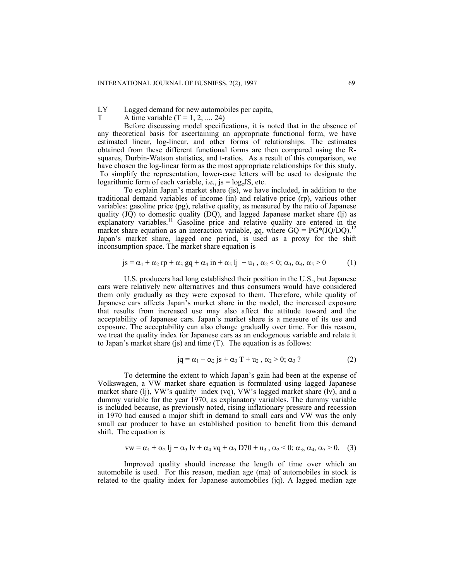LY Lagged demand for new automobiles per capita,<br>  $\Gamma$  A time variable  $(T = 1, 2, 24)$ 

A time variable  $(T = 1, 2, ..., 24)$ 

Before discussing model specifications, it is noted that in the absence of any theoretical basis for ascertaining an appropriate functional form, we have estimated linear, log-linear, and other forms of relationships. The estimates obtained from these different functional forms are then compared using the Rsquares, Durbin-Watson statistics, and t-ratios. As a result of this comparison, we have chosen the log-linear form as the most appropriate relationships for this study. To simplify the representation, lower-case letters will be used to designate the logarithmic form of each variable, i.e.,  $js = log_e JS$ , etc.

To explain Japan's market share (js), we have included, in addition to the traditional demand variables of income (in) and relative price (rp), various other variables: gasoline price (pg), relative quality, as measured by the ratio of Japanese quality  $(\overline{JQ})$  to domestic quality  $(DQ)$ , and lagged Japanese market share (lj) as explanatory variables.<sup>11</sup> Gasoline price and relative quality are entered in the market share equation as an interaction variable, gq, where  $\text{GQ} = \text{PG}^* (\text{JQ} / \text{DQ})$ .<sup>[12](#page-23-11)</sup> Japan's market share, lagged one period, is used as a proxy for the shift inconsumption space. The market share equation is

$$
js = \alpha_1 + \alpha_2 rp + \alpha_3 gq + \alpha_4 in + \alpha_5 lj + u_1, \alpha_2 < 0; \alpha_3, \alpha_4, \alpha_5 > 0
$$
 (1)

U.S. producers had long established their position in the U.S., but Japanese cars were relatively new alternatives and thus consumers would have considered them only gradually as they were exposed to them. Therefore, while quality of Japanese cars affects Japan's market share in the model, the increased exposure that results from increased use may also affect the attitude toward and the acceptability of Japanese cars. Japan's market share is a measure of its use and exposure. The acceptability can also change gradually over time. For this reason, we treat the quality index for Japanese cars as an endogenous variable and relate it to Japan's market share (js) and time (T). The equation is as follows:

$$
jq = \alpha_1 + \alpha_2 js + \alpha_3 T + u_2, \alpha_2 > 0; \alpha_3 ?
$$
 (2)

To determine the extent to which Japan's gain had been at the expense of Volkswagen, a VW market share equation is formulated using lagged Japanese market share (lj), VW's quality index (vq), VW's lagged market share (lv), and a dummy variable for the year 1970, as explanatory variables. The dummy variable is included because, as previously noted, rising inflationary pressure and recession in 1970 had caused a major shift in demand to small cars and VW was the only small car producer to have an established position to benefit from this demand shift. The equation is

$$
vw = \alpha_1 + \alpha_2 \, l j + \alpha_3 \, l v + \alpha_4 \, v q + \alpha_5 \, D70 + u_3 \, , \, \alpha_2 < 0; \, \alpha_3, \, \alpha_4, \, \alpha_5 > 0. \tag{3}
$$

Improved quality should increase the length of time over which an automobile is used. For this reason, median age (ma) of automobiles in stock is related to the quality index for Japanese automobiles (jq). A lagged median age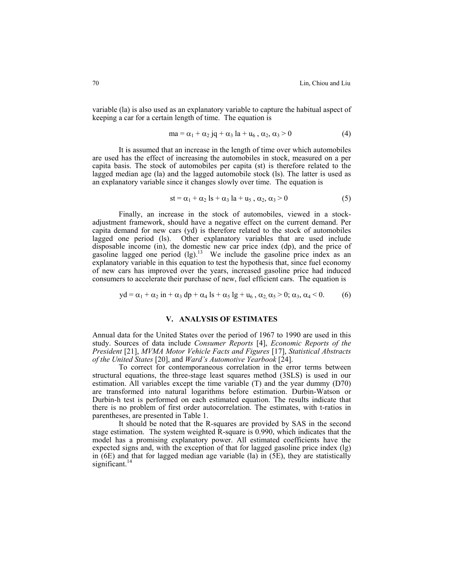variable (la) is also used as an explanatory variable to capture the habitual aspect of keeping a car for a certain length of time. The equation is

$$
ma = \alpha_1 + \alpha_2 jq + \alpha_3 la + u_6, \alpha_2, \alpha_3 > 0
$$
\n<sup>(4)</sup>

It is assumed that an increase in the length of time over which automobiles are used has the effect of increasing the automobiles in stock, measured on a per capita basis. The stock of automobiles per capita (st) is therefore related to the lagged median age (la) and the lagged automobile stock (ls). The latter is used as an explanatory variable since it changes slowly over time. The equation is

$$
st = \alpha_1 + \alpha_2 ls + \alpha_3 la + u_5, \alpha_2, \alpha_3 > 0
$$
 (5)

Finally, an increase in the stock of automobiles, viewed in a stockadjustment framework, should have a negative effect on the current demand. Per capita demand for new cars (yd) is therefore related to the stock of automobiles lagged one period (ls). Other explanatory variables that are used include disposable income (in), the domestic new car price index (dp), and the price of gasoline lagged one period  $(lg)$ .<sup>13</sup> We include the gasoline price index as an explanatory variable in this equation to test the hypothesis that, since fuel economy of new cars has improved over the years, increased gasoline price had induced consumers to accelerate their purchase of new, fuel efficient cars. The equation is

$$
yd = \alpha_1 + \alpha_2 in + \alpha_3 dp + \alpha_4 ls + \alpha_5 lg + u_6, \alpha_2, \alpha_5 > 0; \alpha_3, \alpha_4 < 0.
$$
 (6)

# **V. ANALYSIS OF ESTIMATES**

Annual data for the United States over the period of 1967 to 1990 are used in this study. Sources of data include *Consumer Reports* [4], *Economic Reports of the President* [21], *MVMA Motor Vehicle Facts and Figures* [17], *Statistical Abstracts of the United States* [20], and *Ward's Automotive Yearbook* [24].

To correct for contemporaneous correlation in the error terms between structural equations, the three-stage least squares method (3SLS) is used in our estimation. All variables except the time variable (T) and the year dummy (D70) are transformed into natural logarithms before estimation. Durbin-Watson or Durbin-h test is performed on each estimated equation. The results indicate that there is no problem of first order autocorrelation. The estimates, with t-ratios in parentheses, are presented in Table 1.

It should be noted that the R-squares are provided by SAS in the second stage estimation. The system weighted R-square is 0.990, which indicates that the model has a promising explanatory power. All estimated coefficients have the expected signs and, with the exception of that for lagged gasoline price index (lg) in  $(6E)$  and that for lagged median age variable  $(1a)$  in  $(5E)$ , they are statistically significant. $14$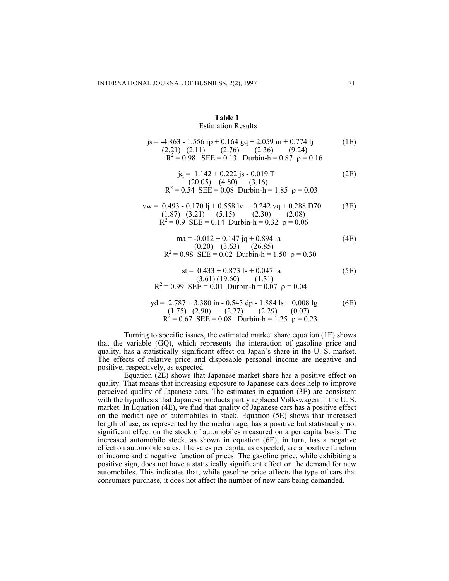### **Table 1**  Estimation Results

| $js = -4.863 - 1.556$ rp + 0.164 gq + 2.059 in + 0.774 lj<br>$(2.21)$ $(2.11)$ $(2.76)$ $(2.36)$ $(9.24)$<br>$R^2 = 0.98$ SEE = 0.13 Durbin-h = 0.87 $\rho = 0.16$ | (1E) |
|--------------------------------------------------------------------------------------------------------------------------------------------------------------------|------|
| $iq = 1.142 + 0.222$ js - 0.019 T<br>(20.05) (4.80) (3.16)<br>$R^2 = 0.54$ SEE = 0.08 Durbin-h = 1.85 $\rho = 0.03$                                                | (2E) |
| $vw = 0.493 - 0.170$ lj + 0.558 lv + 0.242 vq + 0.288 D70<br>$(1.87)$ $(3.21)$ $(5.15)$ $(2.30)$ $(2.08)$<br>$R^2 = 0.9$ SEE = 0.14 Durbin-h = 0.32 $\rho = 0.06$  | (3E) |
| ma = $-0.012 + 0.147$ jq + 0.894 la<br>$(0.20)$ $(3.63)$ $(26.85)$<br>R <sup>2</sup> = 0.98 SEE = 0.02 Durbin-h = 1.50 p = 0.30                                    | (4E) |
| $st = 0.433 + 0.873$ ls + 0.047 la<br>(3.61) (19.60) (1.31)<br>$R^2 = 0.99$ SEE = 0.01 Durbin-h = 0.07 $\rho = 0.04$                                               | (5E) |
| $yd = 2.787 + 3.380$ in - 0.543 dp - 1.884 ls + 0.008 lg<br>$(1.75)$ $(2.90)$ $(2.27)$ $(2.29)$ $(0.07)$<br>$R^2 = 0.67$ SEE = 0.08 Durbin-h = 1.25 $\rho = 0.23$  | (6E) |

Turning to specific issues, the estimated market share equation (1E) shows that the variable (GQ), which represents the interaction of gasoline price and quality, has a statistically significant effect on Japan's share in the U. S. market. The effects of relative price and disposable personal income are negative and positive, respectively, as expected.

Equation (2E) shows that Japanese market share has a positive effect on quality. That means that increasing exposure to Japanese cars does help to improve perceived quality of Japanese cars. The estimates in equation (3E) are consistent with the hypothesis that Japanese products partly replaced Volkswagen in the U. S. market. In Equation (4E), we find that quality of Japanese cars has a positive effect on the median age of automobiles in stock. Equation (5E) shows that increased length of use, as represented by the median age, has a positive but statistically not significant effect on the stock of automobiles measured on a per capita basis. The increased automobile stock, as shown in equation (6E), in turn, has a negative effect on automobile sales. The sales per capita, as expected, are a positive function of income and a negative function of prices. The gasoline price, while exhibiting a positive sign, does not have a statistically significant effect on the demand for new automobiles. This indicates that, while gasoline price affects the type of cars that consumers purchase, it does not affect the number of new cars being demanded.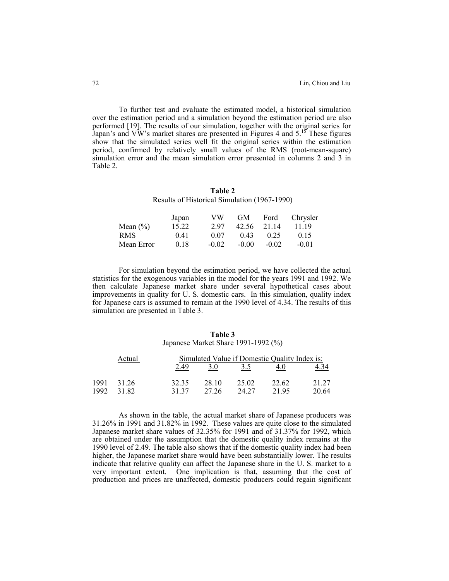To further test and evaluate the estimated model, a historical simulation over the estimation period and a simulation beyond the estimation period are also performed [19]. The results of our simulation, together with the original series for Japan's and VW's market shares are presented in Figures 4 and  $5<sup>15</sup>$  These figures show that the simulated series well fit the original series within the estimation period, confirmed by relatively small values of the RMS (root-mean-square) simulation error and the mean simulation error presented in columns 2 and 3 in Table 2.

**Table 2**  Results of Historical Simulation (1967-1990)

|              | Japan | VW      | GМ      | Ford    | Chrysler |
|--------------|-------|---------|---------|---------|----------|
| Mean $(\% )$ | 15.22 | 297     | 42.56   | 21.14   | 11 19    |
| RMS.         | 0.41  | 0.07    | (143)   | 0.25    | 015      |
| Mean Error   | 0.18  | $-0.02$ | $-0.00$ | $-0.02$ | $-0.01$  |

For simulation beyond the estimation period, we have collected the actual statistics for the exogenous variables in the model for the years 1991 and 1992. We then calculate Japanese market share under several hypothetical cases about improvements in quality for U. S. domestic cars. In this simulation, quality index for Japanese cars is assumed to remain at the 1990 level of 4.34. The results of this simulation are presented in Table 3.

#### **Table 3**

Japanese Market Share 1991-1992 (%)

|      | Actual | Simulated Value if Domestic Quality Index is: |       |       |       |       |
|------|--------|-----------------------------------------------|-------|-------|-------|-------|
|      |        | 2.49                                          | 3.0   | 3.5   |       |       |
| 1991 | 31 26  | 32.35                                         | 28.10 | 25.02 | 22.62 | 21 27 |
| 1992 | 31.82  | 31 37                                         | 27.26 | 24.27 | 21.95 | 20.64 |

As shown in the table, the actual market share of Japanese producers was 31.26% in 1991 and 31.82% in 1992. These values are quite close to the simulated Japanese market share values of 32.35% for 1991 and of 31.37% for 1992, which are obtained under the assumption that the domestic quality index remains at the 1990 level of 2.49. The table also shows that if the domestic quality index had been higher, the Japanese market share would have been substantially lower. The results indicate that relative quality can affect the Japanese share in the U. S. market to a very important extent. One implication is that, assuming that the cost of production and prices are unaffected, domestic producers could regain significant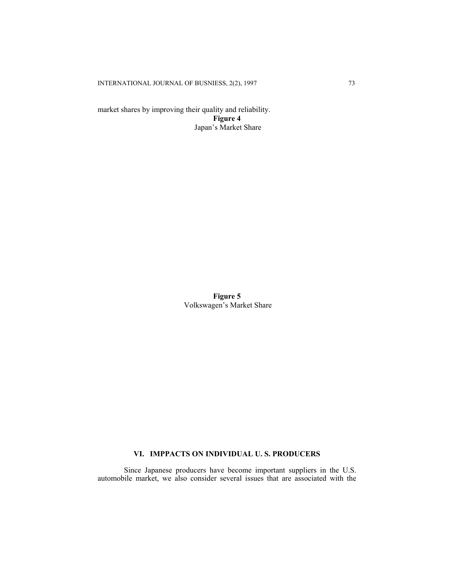INTERNATIONAL JOURNAL OF BUSNIESS, 2(2), 1997 73

market shares by improving their quality and reliability. **Figure 4**  Japan's Market Share

> **Figure 5**  Volkswagen's Market Share

# **VI. IMPPACTS ON INDIVIDUAL U. S. PRODUCERS**

Since Japanese producers have become important suppliers in the U.S. automobile market, we also consider several issues that are associated with the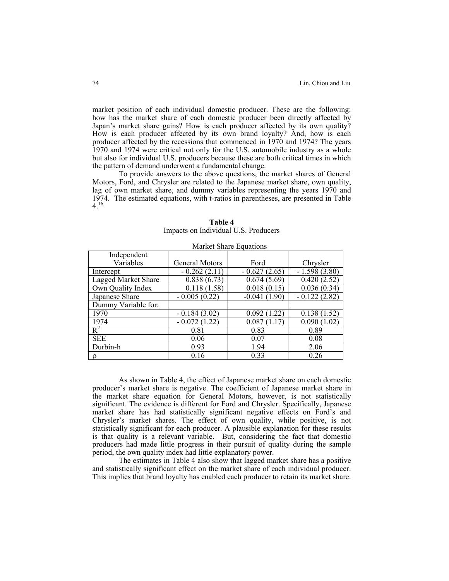market position of each individual domestic producer. These are the following: how has the market share of each domestic producer been directly affected by Japan's market share gains? How is each producer affected by its own quality? How is each producer affected by its own brand loyalty? And, how is each producer affected by the recessions that commenced in 1970 and 1974? The years 1970 and 1974 were critical not only for the U.S. automobile industry as a whole but also for individual U.S. producers because these are both critical times in which the pattern of demand underwent a fundamental change.

To provide answers to the above questions, the market shares of General Motors, Ford, and Chrysler are related to the Japanese market share, own quality, lag of own market share, and dummy variables representing the years 1970 and lag of own market share, and dummy variables representing the years 1970 and 1974. The estimated equations, with t-ratios in parentheses, are presented in Table  $4.16$  $4.16$ 

| Market Share Equations |                |                           |                |  |  |
|------------------------|----------------|---------------------------|----------------|--|--|
| Independent            |                |                           |                |  |  |
| Variables              | General Motors | Ford                      | Chrysler       |  |  |
| Intercept              | $-0.262(2.11)$ | $-0.627(2.65)$            | $-1.598(3.80)$ |  |  |
| Lagged Market Share    | 0.838(6.73)    | 0.674(5.69)               | 0.420(2.52)    |  |  |
| Own Quality Index      | 0.118(1.58)    | $\overline{0.018}$ (0.15) | 0.036(0.34)    |  |  |
| Japanese Share         | $-0.005(0.22)$ | $-0.041(1.90)$            | $-0.122(2.82)$ |  |  |
| Dummy Variable for:    |                |                           |                |  |  |
| 1970                   | $-0.184(3.02)$ | 0.092(1.22)               | 0.138(1.52)    |  |  |
| 1974                   | $-0.072(1.22)$ | 0.087(1.17)               | 0.090(1.02)    |  |  |
| $R^2$                  | 0.81           | 0.83                      | 0.89           |  |  |
| <b>SEE</b>             | 0.06           | 0.07                      | 0.08           |  |  |
| Durbin-h               | 0.93           | 1.94                      | 2.06           |  |  |
| $\rho$                 | 0.16           | 0.33                      | 0.26           |  |  |

**Table 4**  Impacts on Individual U.S. Producers

 As shown in Table 4, the effect of Japanese market share on each domestic producer's market share is negative. The coefficient of Japanese market share in the market share equation for General Motors, however, is not statistically significant. The evidence is different for Ford and Chrysler. Specifically, Japanese market share has had statistically significant negative effects on Ford's and Chrysler's market shares. The effect of own quality, while positive, is not statistically significant for each producer. A plausible explanation for these results is that quality is a relevant variable. But, considering the fact that domestic producers had made little progress in their pursuit of quality during the sample period, the own quality index had little explanatory power.

The estimates in Table 4 also show that lagged market share has a positive and statistically significant effect on the market share of each individual producer. This implies that brand loyalty has enabled each producer to retain its market share.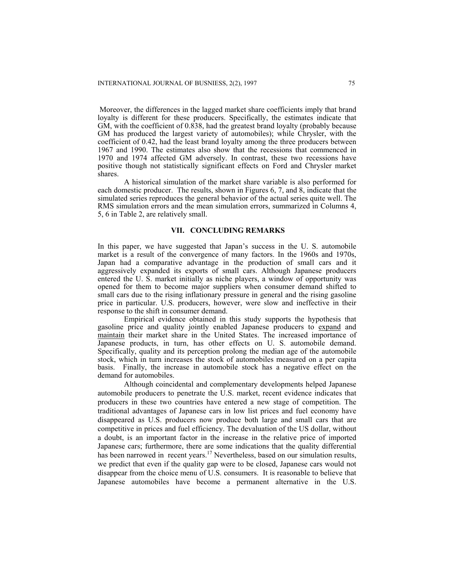Moreover, the differences in the lagged market share coefficients imply that brand loyalty is different for these producers. Specifically, the estimates indicate that GM, with the coefficient of 0.838, had the greatest brand loyalty (probably because GM has produced the largest variety of automobiles); while Chrysler, with the coefficient of 0.42, had the least brand loyalty among the three producers between 1967 and 1990. The estimates also show that the recessions that commenced in 1970 and 1974 affected GM adversely. In contrast, these two recessions have positive though not statistically significant effects on Ford and Chrysler market shares.

A historical simulation of the market share variable is also performed for each domestic producer. The results, shown in Figures 6, 7, and 8, indicate that the simulated series reproduces the general behavior of the actual series quite well. The RMS simulation errors and the mean simulation errors, summarized in Columns 4, 5, 6 in Table 2, are relatively small.

# **VII. CONCLUDING REMARKS**

In this paper, we have suggested that Japan's success in the U. S. automobile market is a result of the convergence of many factors. In the 1960s and 1970s, Japan had a comparative advantage in the production of small cars and it aggressively expanded its exports of small cars. Although Japanese producers entered the U. S. market initially as niche players, a window of opportunity was opened for them to become major suppliers when consumer demand shifted to small cars due to the rising inflationary pressure in general and the rising gasoline price in particular. U.S. producers, however, were slow and ineffective in their response to the shift in consumer demand.

Empirical evidence obtained in this study supports the hypothesis that gasoline price and quality jointly enabled Japanese producers to expand and maintain their market share in the United States. The increased importance of Japanese products, in turn, has other effects on U. S. automobile demand. Specifically, quality and its perception prolong the median age of the automobile stock, which in turn increases the stock of automobiles measured on a per capita basis. Finally, the increase in automobile stock has a negative effect on the demand for automobiles.

Although coincidental and complementary developments helped Japanese automobile producers to penetrate the U.S. market, recent evidence indicates that producers in these two countries have entered a new stage of competition. The traditional advantages of Japanese cars in low list prices and fuel economy have disappeared as U.S. producers now produce both large and small cars that are competitive in prices and fuel efficiency. The devaluation of the US dollar, without a doubt, is an important factor in the increase in the relative price of imported Japanese cars; furthermore, there are some indications that the quality differential has been narrowed in recent years.<sup>17</sup> Nevertheless, based on our simulation results, we predict that even if the quality gap were to be closed, Japanese cars would not disappear from the choice menu of U.S. consumers. It is reasonable to believe that Japanese automobiles have become a permanent alternative in the U.S.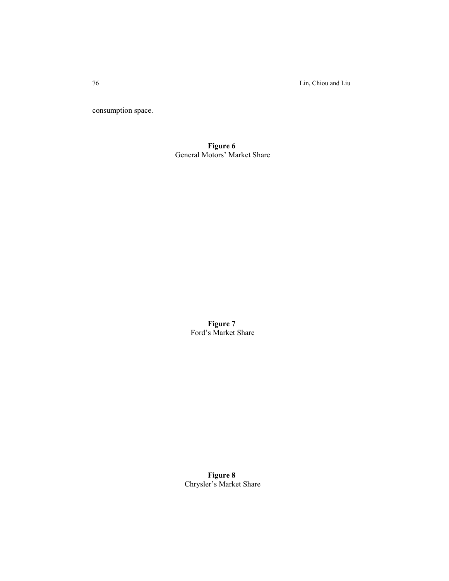76 Lin, Chiou and Liu

consumption space.

**Figure 6**  General Motors' Market Share

> **Figure 7**  Ford's Market Share

**Figure 8**  Chrysler's Market Share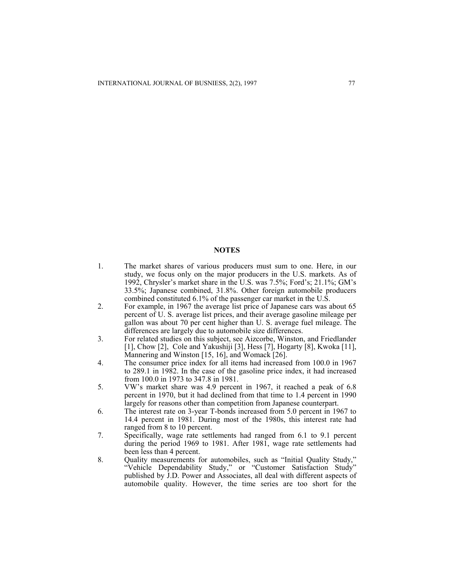#### **NOTES**

- 1. The market shares of various producers must sum to one. Here, in our study, we focus only on the major producers in the U.S. markets. As of 1992, Chrysler's market share in the U.S. was 7.5%; Ford's; 21.1%; GM's 33.5%; Japanese combined, 31.8%. Other foreign automobile producers combined constituted 6.1% of the passenger car market in the U.S.
- 2. For example, in 1967 the average list price of Japanese cars was about 65 percent of U. S. average list prices, and their average gasoline mileage per gallon was about 70 per cent higher than U. S. average fuel mileage. The differences are largely due to automobile size differences.
- 3. For related studies on this subject, see Aizcorbe, Winston, and Friedlander [1], Chow [2], Cole and Yakushiji [3], Hess [7], Hogarty [8], Kwoka [11], Mannering and Winston [15, 16], and Womack [26].
- 4. The consumer price index for all items had increased from 100.0 in 1967 to 289.1 in 1982. In the case of the gasoline price index, it had increased from 100.0 in 1973 to 347.8 in 1981.
- 5. VW's market share was 4.9 percent in 1967, it reached a peak of 6.8 percent in 1970, but it had declined from that time to 1.4 percent in 1990 largely for reasons other than competition from Japanese counterpart.
- 6. The interest rate on 3-year T-bonds increased from 5.0 percent in 1967 to 14.4 percent in 1981. During most of the 1980s, this interest rate had ranged from 8 to 10 percent.
- 7. Specifically, wage rate settlements had ranged from 6.1 to 9.1 percent during the period 1969 to 1981. After 1981, wage rate settlements had been less than 4 percent.
- 8. Quality measurements for automobiles, such as "Initial Quality Study," "Vehicle Dependability Study," or "Customer Satisfaction Study" published by J.D. Power and Associates, all deal with different aspects of automobile quality. However, the time series are too short for the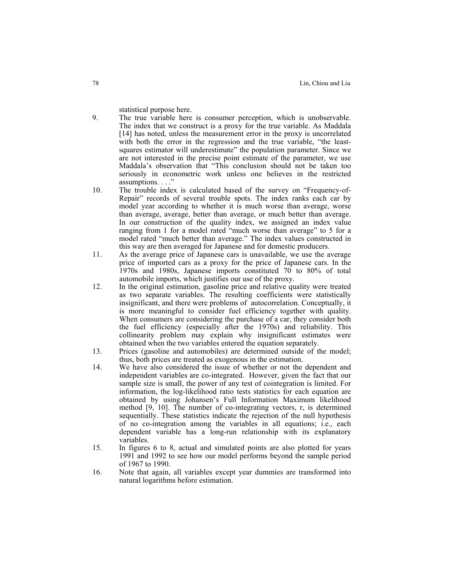statistical purpose here.

- 9. The true variable here is consumer perception, which is unobservable. The index that we construct is a proxy for the true variable. As Maddala [14] has noted, unless the measurement error in the proxy is uncorrelated with both the error in the regression and the true variable, "the leastsquares estimator will underestimate" the population parameter. Since we are not interested in the precise point estimate of the parameter, we use Maddala's observation that "This conclusion should not be taken too seriously in econometric work unless one believes in the restricted assumptions. . . ."
- 10. The trouble index is calculated based of the survey on "Frequency-of-Repair" records of several trouble spots. The index ranks each car by model year according to whether it is much worse than average, worse than average, average, better than average, or much better than average. In our construction of the quality index, we assigned an index value ranging from 1 for a model rated "much worse than average" to 5 for a model rated "much better than average." The index values constructed in this way are then averaged for Japanese and for domestic producers.
- 11. As the average price of Japanese cars is unavailable, we use the average price of imported cars as a proxy for the price of Japanese cars. In the 1970s and 1980s, Japanese imports constituted 70 to 80% of total automobile imports, which justifies our use of the proxy.
- 12. In the original estimation, gasoline price and relative quality were treated as two separate variables. The resulting coefficients were statistically insignificant, and there were problems of autocorrelation. Conceptually, it is more meaningful to consider fuel efficiency together with quality. When consumers are considering the purchase of a car, they consider both the fuel efficiency (especially after the 1970s) and reliability. This collinearity problem may explain why insignificant estimates were obtained when the two variables entered the equation separately.
- 13. Prices (gasoline and automobiles) are determined outside of the model; thus, both prices are treated as exogenous in the estimation.
- 14. We have also considered the issue of whether or not the dependent and independent variables are co-integrated. However, given the fact that our sample size is small, the power of any test of cointegration is limited. For information, the log-likelihood ratio tests statistics for each equation are obtained by using Johansen's Full Information Maximum likelihood method [9, 10]. The number of co-integrating vectors, r, is determined sequentially. These statistics indicate the rejection of the null hypothesis of no co-integration among the variables in all equations; i.e., each dependent variable has a long-run relationship with its explanatory variables.
- 15. In figures 6 to 8, actual and simulated points are also plotted for years 1991 and 1992 to see how our model performs beyond the sample period of 1967 to 1990.
- 16. Note that again, all variables except year dummies are transformed into natural logarithms before estimation.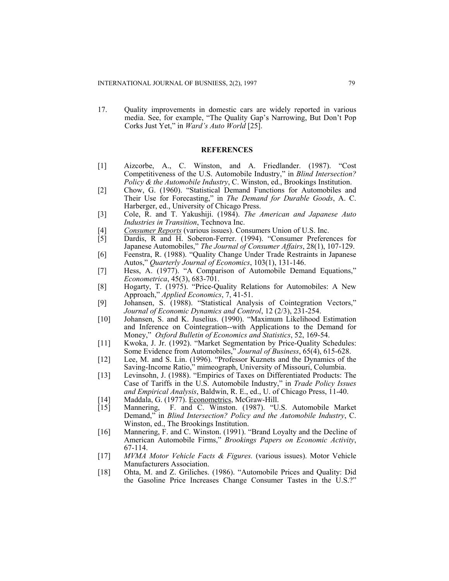17. Quality improvements in domestic cars are widely reported in various media. See, for example, "The Quality Gap's Narrowing, But Don't Pop Corks Just Yet," in *Ward's Auto World* [25].

# **REFERENCES**

- [1] Aizcorbe, A., C. Winston, and A. Friedlander. (1987). "Cost Competitiveness of the U.S. Automobile Industry," in *Blind Intersection? Policy & the Automobile Industry*, C. Winston, ed., Brookings Institution.
- [2] Chow, G. (1960). "Statistical Demand Functions for Automobiles and Their Use for Forecasting," in *The Demand for Durable Goods*, A. C. Harberger, ed., University of Chicago Press.
- [3] Cole, R. and T. Yakushiji. (1984). *The American and Japanese Auto Industries in Transition*, Technova Inc.
- [4] *Consumer Reports* (various issues). Consumers Union of U.S. Inc. [5] Dardis, R and H. Soberon-Ferrer. (1994). "Consumer Preferent
- Dardis, R and H. Soberon-Ferrer. (1994). "Consumer Preferences for Japanese Automobiles," *The Journal of Consumer Affairs*, 28(1), 107-129.
- [6] Feenstra, R. (1988). "Quality Change Under Trade Restraints in Japanese Autos," *Quarterly Journal of Economics*, 103(1), 131-146.
- [7] Hess, A. (1977). "A Comparison of Automobile Demand Equations," *Econometrica*, 45(3), 683-701.
- [8] Hogarty, T. (1975). "Price-Quality Relations for Automobiles: A New Approach," *Applied Economics*, 7, 41-51.
- [9] Johansen, S. (1988). "Statistical Analysis of Cointegration Vectors," *Journal of Economic Dynamics and Control*, 12 (2/3), 231-254.
- [10] Johansen, S. and K. Juselius. (1990). "Maximum Likelihood Estimation and Inference on Cointegration--with Applications to the Demand for Money," *Oxford Bulletin of Economics and Statistics*, 52, 169-54.
- [11] Kwoka, J. Jr. (1992). "Market Segmentation by Price-Quality Schedules: Some Evidence from Automobiles," *Journal of Business*, 65(4), 615-628.
- [12] Lee, M. and S. Lin. (1996). "Professor Kuznets and the Dynamics of the Saving-Income Ratio," mimeograph, University of Missouri, Columbia.
- [13] Levinsohn, J. (1988). "Empirics of Taxes on Differentiated Products: The Case of Tariffs in the U.S. Automobile Industry," in *Trade Policy Issues and Empirical Analysis*, Baldwin, R. E., ed., U. of Chicago Press, 11-40.
- [14] Maddala, G. (1977). Econometrics, McGraw-Hill.
- [15] Mannering, F. and C. Winston. (1987). "U.S. Automobile Market Demand," in *Blind Intersection? Policy and the Automobile Industry*, C. Winston, ed., The Brookings Institution.
- [16] Mannering, F. and C. Winston. (1991). "Brand Loyalty and the Decline of American Automobile Firms," *Brookings Papers on Economic Activity*, 67-114.
- [17] *MVMA Motor Vehicle Facts & Figures.* (various issues). Motor Vehicle Manufacturers Association.
- [18] Ohta, M. and Z. Griliches. (1986). "Automobile Prices and Quality: Did the Gasoline Price Increases Change Consumer Tastes in the U.S.?"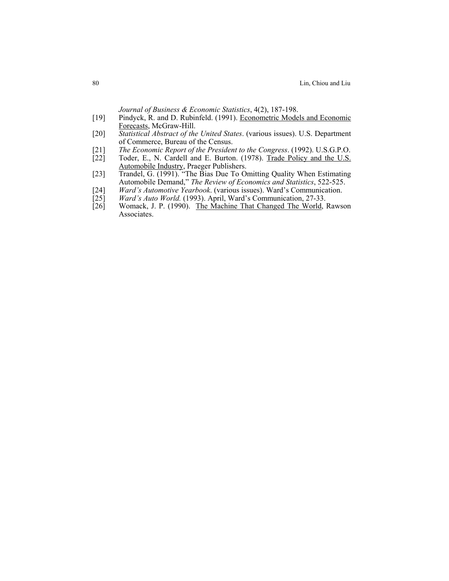*Journal of Business & Economic Statistics*, 4(2), 187-198.

- [19] Pindyck, R. and D. Rubinfeld. (1991). Econometric Models and Economic Forecasts, McGraw-Hill.
- [20] *Statistical Abstract of the United States*. (various issues). U.S. Department of Commerce, Bureau of the Census.
- [21] *The Economic Report of the President to the Congress*. (1992). U.S.G.P.O.
- Toder, E., N. Cardell and E. Burton. (1978). Trade Policy and the U.S. Automobile Industry, Praeger Publishers.
- [23] Trandel, G. (1991). "The Bias Due To Omitting Quality When Estimating Automobile Demand," *The Review of Economics and Statistics*, 522-525.
- [24] *Ward's Automotive Yearbook.* (various issues). Ward's Communication.<br>[25] *Ward's Auto World.* (1993). April, Ward's Communication, 27-33.
- [25] *Ward's Auto World.* (1993). April, Ward's Communication, 27-33. [26] Womack, J. P. (1990). The Machine That Changed The World, 1
- Womack, J. P. (1990). The Machine That Changed The World, Rawson Associates.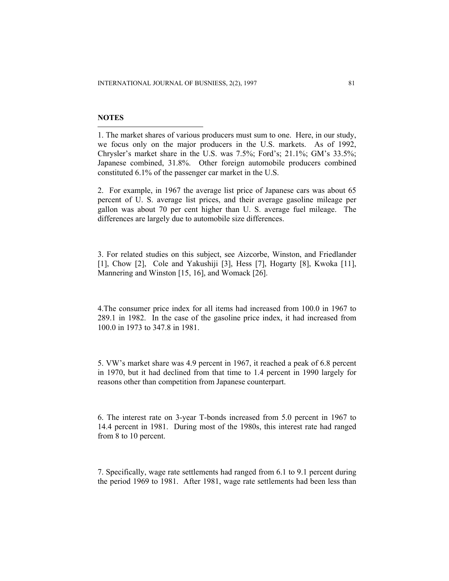# **NOTES**

 $\overline{a}$ 

1. The market shares of various producers must sum to one. Here, in our study, we focus only on the major producers in the U.S. markets. As of 1992, Chrysler's market share in the U.S. was 7.5%; Ford's; 21.1%; GM's 33.5%; Japanese combined, 31.8%. Other foreign automobile producers combined constituted 6.1% of the passenger car market in the U.S.

2. For example, in 1967 the average list price of Japanese cars was about 65 percent of U. S. average list prices, and their average gasoline mileage per gallon was about 70 per cent higher than U. S. average fuel mileage. The differences are largely due to automobile size differences.

3. For related studies on this subject, see Aizcorbe, Winston, and Friedlander [1], Chow [2], Cole and Yakushiji [3], Hess [7], Hogarty [8], Kwoka [11], Mannering and Winston [15, 16], and Womack [26].

4.The consumer price index for all items had increased from 100.0 in 1967 to 289.1 in 1982. In the case of the gasoline price index, it had increased from 100.0 in 1973 to 347.8 in 1981.

5. VW's market share was 4.9 percent in 1967, it reached a peak of 6.8 percent in 1970, but it had declined from that time to 1.4 percent in 1990 largely for reasons other than competition from Japanese counterpart.

6. The interest rate on 3-year T-bonds increased from 5.0 percent in 1967 to 14.4 percent in 1981. During most of the 1980s, this interest rate had ranged from 8 to 10 percent.

7. Specifically, wage rate settlements had ranged from 6.1 to 9.1 percent during the period 1969 to 1981. After 1981, wage rate settlements had been less than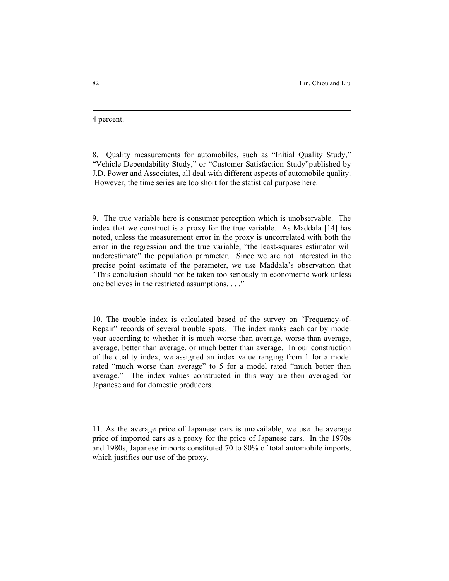4 percent.

8. Quality measurements for automobiles, such as "Initial Quality Study," "Vehicle Dependability Study," or "Customer Satisfaction Study"published by J.D. Power and Associates, all deal with different aspects of automobile quality. However, the time series are too short for the statistical purpose here.

9. The true variable here is consumer perception which is unobservable. The index that we construct is a proxy for the true variable. As Maddala [14] has noted, unless the measurement error in the proxy is uncorrelated with both the error in the regression and the true variable, "the least-squares estimator will underestimate" the population parameter. Since we are not interested in the precise point estimate of the parameter, we use Maddala's observation that "This conclusion should not be taken too seriously in econometric work unless one believes in the restricted assumptions. . . ."

10. The trouble index is calculated based of the survey on "Frequency-of-Repair" records of several trouble spots. The index ranks each car by model year according to whether it is much worse than average, worse than average, average, better than average, or much better than average. In our construction of the quality index, we assigned an index value ranging from 1 for a model rated "much worse than average" to 5 for a model rated "much better than average." The index values constructed in this way are then averaged for Japanese and for domestic producers.

11. As the average price of Japanese cars is unavailable, we use the average price of imported cars as a proxy for the price of Japanese cars. In the 1970s and 1980s, Japanese imports constituted 70 to 80% of total automobile imports, which justifies our use of the proxy.

l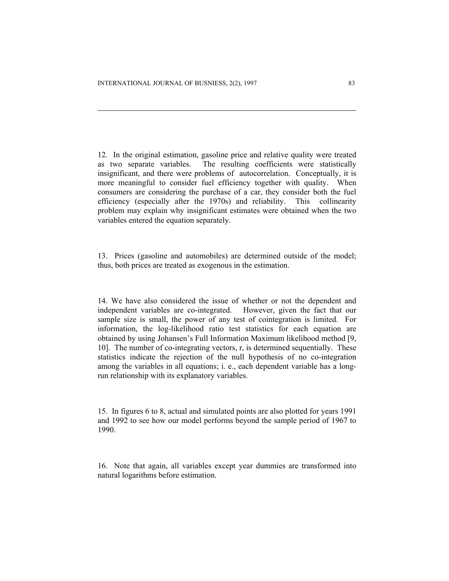l

12. In the original estimation, gasoline price and relative quality were treated as two separate variables. The resulting coefficients were statistically insignificant, and there were problems of autocorrelation. Conceptually, it is more meaningful to consider fuel efficiency together with quality. When consumers are considering the purchase of a car, they consider both the fuel efficiency (especially after the 1970s) and reliability. This collinearity problem may explain why insignificant estimates were obtained when the two variables entered the equation separately.

13. Prices (gasoline and automobiles) are determined outside of the model; thus, both prices are treated as exogenous in the estimation.

14. We have also considered the issue of whether or not the dependent and independent variables are co-integrated. However, given the fact that our sample size is small, the power of any test of cointegration is limited. For information, the log-likelihood ratio test statistics for each equation are obtained by using Johansen's Full Information Maximum likelihood method [9, 10]. The number of co-integrating vectors, r, is determined sequentially. These statistics indicate the rejection of the null hypothesis of no co-integration among the variables in all equations; i. e., each dependent variable has a longrun relationship with its explanatory variables.

15. In figures 6 to 8, actual and simulated points are also plotted for years 1991 and 1992 to see how our model performs beyond the sample period of 1967 to 1990.

16. Note that again, all variables except year dummies are transformed into natural logarithms before estimation.